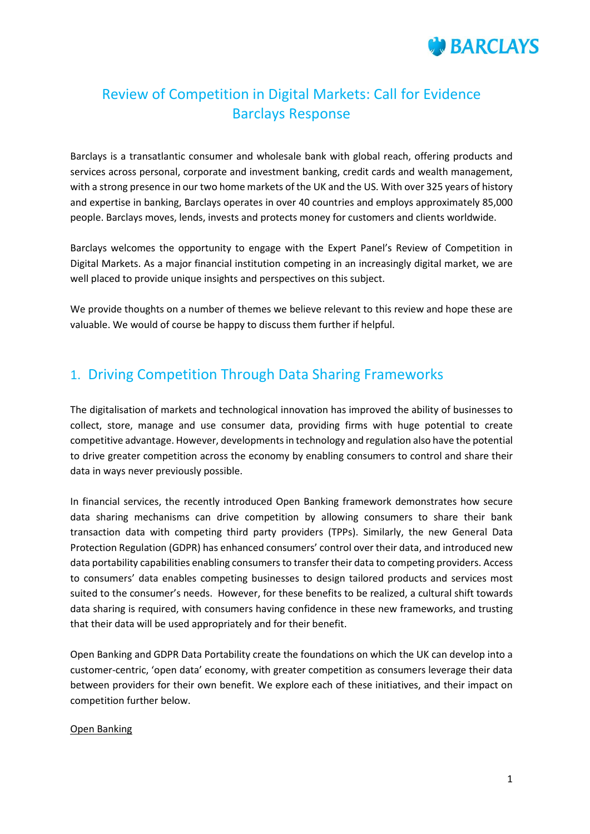

# Review of Competition in Digital Markets: Call for Evidence Barclays Response

Barclays is a transatlantic consumer and wholesale bank with global reach, offering products and services across personal, corporate and investment banking, credit cards and wealth management, with a strong presence in our two home markets of the UK and the US. With over 325 years of history and expertise in banking, Barclays operates in over 40 countries and employs approximately 85,000 people. Barclays moves, lends, invests and protects money for customers and clients worldwide.

Barclays welcomes the opportunity to engage with the Expert Panel's Review of Competition in Digital Markets. As a major financial institution competing in an increasingly digital market, we are well placed to provide unique insights and perspectives on this subject.

We provide thoughts on a number of themes we believe relevant to this review and hope these are valuable. We would of course be happy to discuss them further if helpful.

## 1. Driving Competition Through Data Sharing Frameworks

The digitalisation of markets and technological innovation has improved the ability of businesses to collect, store, manage and use consumer data, providing firms with huge potential to create competitive advantage. However, developments in technology and regulation also have the potential to drive greater competition across the economy by enabling consumers to control and share their data in ways never previously possible.

In financial services, the recently introduced Open Banking framework demonstrates how secure data sharing mechanisms can drive competition by allowing consumers to share their bank transaction data with competing third party providers (TPPs). Similarly, the new General Data Protection Regulation (GDPR) has enhanced consumers' control over their data, and introduced new data portability capabilities enabling consumers to transfer their data to competing providers. Access to consumers' data enables competing businesses to design tailored products and services most suited to the consumer's needs. However, for these benefits to be realized, a cultural shift towards data sharing is required, with consumers having confidence in these new frameworks, and trusting that their data will be used appropriately and for their benefit.

Open Banking and GDPR Data Portability create the foundations on which the UK can develop into a customer-centric, 'open data' economy, with greater competition as consumers leverage their data between providers for their own benefit. We explore each of these initiatives, and their impact on competition further below.

## Open Banking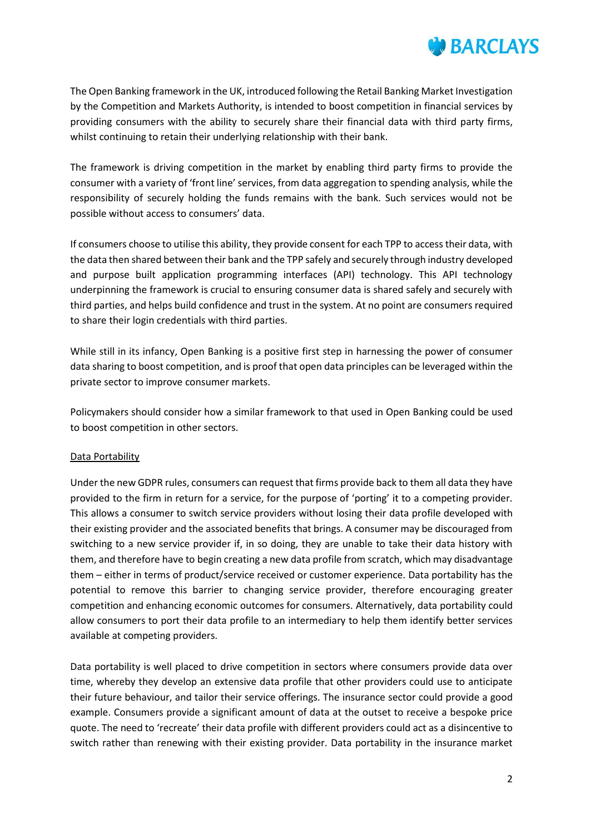

The Open Banking framework in the UK, introduced following the Retail Banking Market Investigation by the Competition and Markets Authority, is intended to boost competition in financial services by providing consumers with the ability to securely share their financial data with third party firms, whilst continuing to retain their underlying relationship with their bank.

The framework is driving competition in the market by enabling third party firms to provide the consumer with a variety of 'front line' services, from data aggregation to spending analysis, while the responsibility of securely holding the funds remains with the bank. Such services would not be possible without access to consumers' data.

If consumers choose to utilise this ability, they provide consent for each TPP to access their data, with the data then shared between their bank and the TPP safely and securely through industry developed and purpose built application programming interfaces (API) technology. This API technology underpinning the framework is crucial to ensuring consumer data is shared safely and securely with third parties, and helps build confidence and trust in the system. At no point are consumers required to share their login credentials with third parties.

While still in its infancy, Open Banking is a positive first step in harnessing the power of consumer data sharing to boost competition, and is proof that open data principles can be leveraged within the private sector to improve consumer markets.

Policymakers should consider how a similar framework to that used in Open Banking could be used to boost competition in other sectors.

## Data Portability

Under the new GDPR rules, consumers can request that firms provide back to them all data they have provided to the firm in return for a service, for the purpose of 'porting' it to a competing provider. This allows a consumer to switch service providers without losing their data profile developed with their existing provider and the associated benefits that brings. A consumer may be discouraged from switching to a new service provider if, in so doing, they are unable to take their data history with them, and therefore have to begin creating a new data profile from scratch, which may disadvantage them – either in terms of product/service received or customer experience. Data portability has the potential to remove this barrier to changing service provider, therefore encouraging greater competition and enhancing economic outcomes for consumers. Alternatively, data portability could allow consumers to port their data profile to an intermediary to help them identify better services available at competing providers.

Data portability is well placed to drive competition in sectors where consumers provide data over time, whereby they develop an extensive data profile that other providers could use to anticipate their future behaviour, and tailor their service offerings. The insurance sector could provide a good example. Consumers provide a significant amount of data at the outset to receive a bespoke price quote. The need to 'recreate' their data profile with different providers could act as a disincentive to switch rather than renewing with their existing provider. Data portability in the insurance market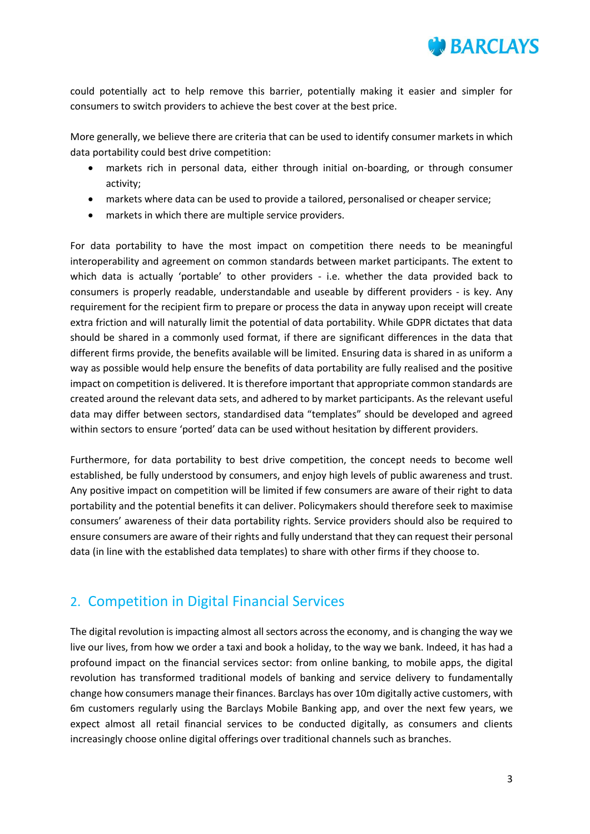

could potentially act to help remove this barrier, potentially making it easier and simpler for consumers to switch providers to achieve the best cover at the best price.

More generally, we believe there are criteria that can be used to identify consumer markets in which data portability could best drive competition:

- markets rich in personal data, either through initial on-boarding, or through consumer activity;
- markets where data can be used to provide a tailored, personalised or cheaper service;
- markets in which there are multiple service providers.

For data portability to have the most impact on competition there needs to be meaningful interoperability and agreement on common standards between market participants. The extent to which data is actually 'portable' to other providers - i.e. whether the data provided back to consumers is properly readable, understandable and useable by different providers - is key. Any requirement for the recipient firm to prepare or process the data in anyway upon receipt will create extra friction and will naturally limit the potential of data portability. While GDPR dictates that data should be shared in a commonly used format, if there are significant differences in the data that different firms provide, the benefits available will be limited. Ensuring data is shared in as uniform a way as possible would help ensure the benefits of data portability are fully realised and the positive impact on competition is delivered. It is therefore important that appropriate common standards are created around the relevant data sets, and adhered to by market participants. As the relevant useful data may differ between sectors, standardised data "templates" should be developed and agreed within sectors to ensure 'ported' data can be used without hesitation by different providers.

Furthermore, for data portability to best drive competition, the concept needs to become well established, be fully understood by consumers, and enjoy high levels of public awareness and trust. Any positive impact on competition will be limited if few consumers are aware of their right to data portability and the potential benefits it can deliver. Policymakers should therefore seek to maximise consumers' awareness of their data portability rights. Service providers should also be required to ensure consumers are aware of their rights and fully understand that they can request their personal data (in line with the established data templates) to share with other firms if they choose to.

## 2. Competition in Digital Financial Services

The digital revolution is impacting almost all sectors across the economy, and is changing the way we live our lives, from how we order a taxi and book a holiday, to the way we bank. Indeed, it has had a profound impact on the financial services sector: from online banking, to mobile apps, the digital revolution has transformed traditional models of banking and service delivery to fundamentally change how consumers manage their finances. Barclays has over 10m digitally active customers, with 6m customers regularly using the Barclays Mobile Banking app, and over the next few years, we expect almost all retail financial services to be conducted digitally, as consumers and clients increasingly choose online digital offerings over traditional channels such as branches.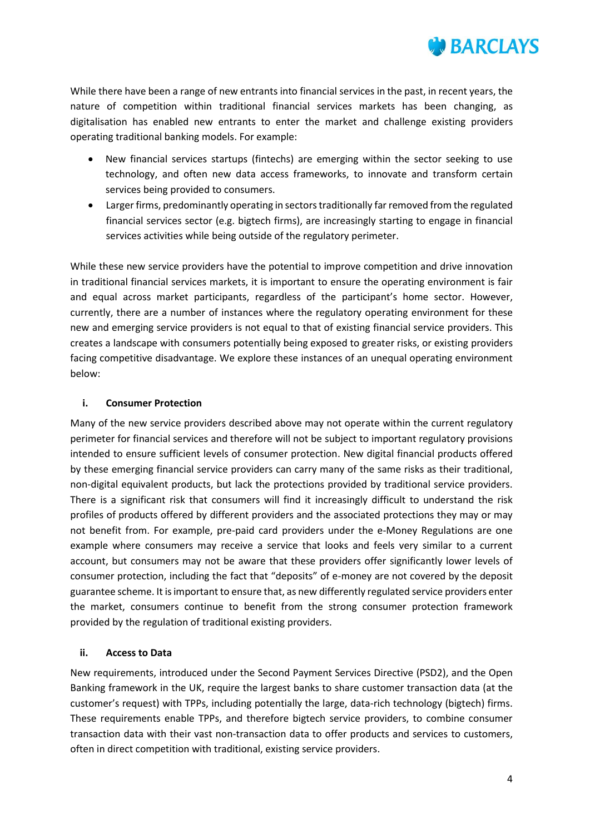

While there have been a range of new entrants into financial services in the past, in recent years, the nature of competition within traditional financial services markets has been changing, as digitalisation has enabled new entrants to enter the market and challenge existing providers operating traditional banking models. For example:

- New financial services startups (fintechs) are emerging within the sector seeking to use technology, and often new data access frameworks, to innovate and transform certain services being provided to consumers.
- Larger firms, predominantly operating in sectors traditionally far removed from the regulated financial services sector (e.g. bigtech firms), are increasingly starting to engage in financial services activities while being outside of the regulatory perimeter.

While these new service providers have the potential to improve competition and drive innovation in traditional financial services markets, it is important to ensure the operating environment is fair and equal across market participants, regardless of the participant's home sector. However, currently, there are a number of instances where the regulatory operating environment for these new and emerging service providers is not equal to that of existing financial service providers. This creates a landscape with consumers potentially being exposed to greater risks, or existing providers facing competitive disadvantage. We explore these instances of an unequal operating environment below:

## **i. Consumer Protection**

Many of the new service providers described above may not operate within the current regulatory perimeter for financial services and therefore will not be subject to important regulatory provisions intended to ensure sufficient levels of consumer protection. New digital financial products offered by these emerging financial service providers can carry many of the same risks as their traditional, non-digital equivalent products, but lack the protections provided by traditional service providers. There is a significant risk that consumers will find it increasingly difficult to understand the risk profiles of products offered by different providers and the associated protections they may or may not benefit from. For example, pre-paid card providers under the e-Money Regulations are one example where consumers may receive a service that looks and feels very similar to a current account, but consumers may not be aware that these providers offer significantly lower levels of consumer protection, including the fact that "deposits" of e-money are not covered by the deposit guarantee scheme. It is important to ensure that, as new differently regulated service providers enter the market, consumers continue to benefit from the strong consumer protection framework provided by the regulation of traditional existing providers.

## **ii. Access to Data**

New requirements, introduced under the Second Payment Services Directive (PSD2), and the Open Banking framework in the UK, require the largest banks to share customer transaction data (at the customer's request) with TPPs, including potentially the large, data-rich technology (bigtech) firms. These requirements enable TPPs, and therefore bigtech service providers, to combine consumer transaction data with their vast non-transaction data to offer products and services to customers, often in direct competition with traditional, existing service providers.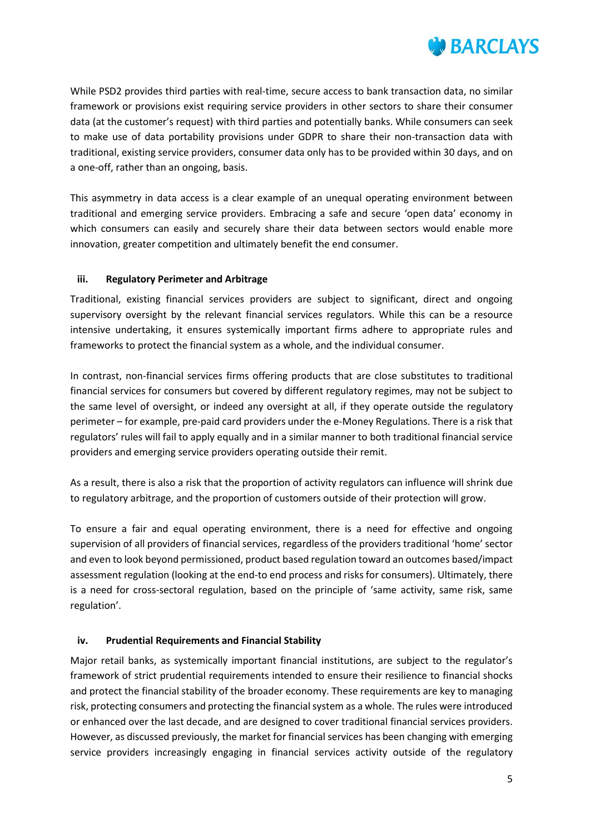

While PSD2 provides third parties with real-time, secure access to bank transaction data, no similar framework or provisions exist requiring service providers in other sectors to share their consumer data (at the customer's request) with third parties and potentially banks. While consumers can seek to make use of data portability provisions under GDPR to share their non-transaction data with traditional, existing service providers, consumer data only has to be provided within 30 days, and on a one-off, rather than an ongoing, basis.

This asymmetry in data access is a clear example of an unequal operating environment between traditional and emerging service providers. Embracing a safe and secure 'open data' economy in which consumers can easily and securely share their data between sectors would enable more innovation, greater competition and ultimately benefit the end consumer.

## **iii. Regulatory Perimeter and Arbitrage**

Traditional, existing financial services providers are subject to significant, direct and ongoing supervisory oversight by the relevant financial services regulators. While this can be a resource intensive undertaking, it ensures systemically important firms adhere to appropriate rules and frameworks to protect the financial system as a whole, and the individual consumer.

In contrast, non-financial services firms offering products that are close substitutes to traditional financial services for consumers but covered by different regulatory regimes, may not be subject to the same level of oversight, or indeed any oversight at all, if they operate outside the regulatory perimeter – for example, pre-paid card providers under the e-Money Regulations. There is a risk that regulators' rules will fail to apply equally and in a similar manner to both traditional financial service providers and emerging service providers operating outside their remit.

As a result, there is also a risk that the proportion of activity regulators can influence will shrink due to regulatory arbitrage, and the proportion of customers outside of their protection will grow.

To ensure a fair and equal operating environment, there is a need for effective and ongoing supervision of all providers of financial services, regardless of the providers traditional 'home' sector and even to look beyond permissioned, product based regulation toward an outcomes based/impact assessment regulation (looking at the end-to end process and risks for consumers). Ultimately, there is a need for cross-sectoral regulation, based on the principle of 'same activity, same risk, same regulation'.

## **iv. Prudential Requirements and Financial Stability**

Major retail banks, as systemically important financial institutions, are subject to the regulator's framework of strict prudential requirements intended to ensure their resilience to financial shocks and protect the financial stability of the broader economy. These requirements are key to managing risk, protecting consumers and protecting the financial system as a whole. The rules were introduced or enhanced over the last decade, and are designed to cover traditional financial services providers. However, as discussed previously, the market for financial services has been changing with emerging service providers increasingly engaging in financial services activity outside of the regulatory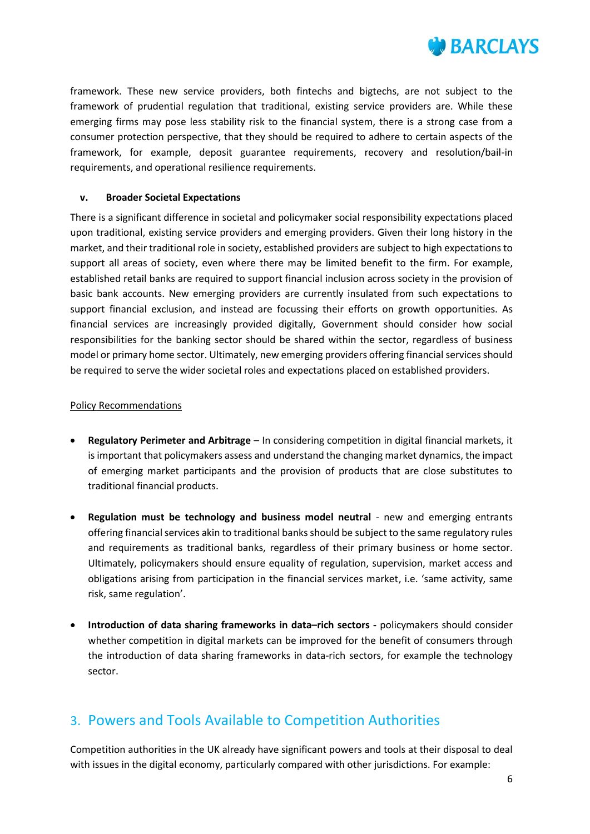

framework. These new service providers, both fintechs and bigtechs, are not subject to the framework of prudential regulation that traditional, existing service providers are. While these emerging firms may pose less stability risk to the financial system, there is a strong case from a consumer protection perspective, that they should be required to adhere to certain aspects of the framework, for example, deposit guarantee requirements, recovery and resolution/bail-in requirements, and operational resilience requirements.

## **v. Broader Societal Expectations**

There is a significant difference in societal and policymaker social responsibility expectations placed upon traditional, existing service providers and emerging providers. Given their long history in the market, and their traditional role in society, established providers are subject to high expectations to support all areas of society, even where there may be limited benefit to the firm. For example, established retail banks are required to support financial inclusion across society in the provision of basic bank accounts. New emerging providers are currently insulated from such expectations to support financial exclusion, and instead are focussing their efforts on growth opportunities. As financial services are increasingly provided digitally, Government should consider how social responsibilities for the banking sector should be shared within the sector, regardless of business model or primary home sector. Ultimately, new emerging providers offering financial services should be required to serve the wider societal roles and expectations placed on established providers.

## Policy Recommendations

- **Regulatory Perimeter and Arbitrage** In considering competition in digital financial markets, it is important that policymakers assess and understand the changing market dynamics, the impact of emerging market participants and the provision of products that are close substitutes to traditional financial products.
- **Regulation must be technology and business model neutral** new and emerging entrants offering financial services akin to traditional banks should be subject to the same regulatory rules and requirements as traditional banks, regardless of their primary business or home sector. Ultimately, policymakers should ensure equality of regulation, supervision, market access and obligations arising from participation in the financial services market, i.e. 'same activity, same risk, same regulation'.
- **Introduction of data sharing frameworks in data–rich sectors -** policymakers should consider whether competition in digital markets can be improved for the benefit of consumers through the introduction of data sharing frameworks in data-rich sectors, for example the technology sector.

## 3. Powers and Tools Available to Competition Authorities

Competition authorities in the UK already have significant powers and tools at their disposal to deal with issues in the digital economy, particularly compared with other jurisdictions. For example: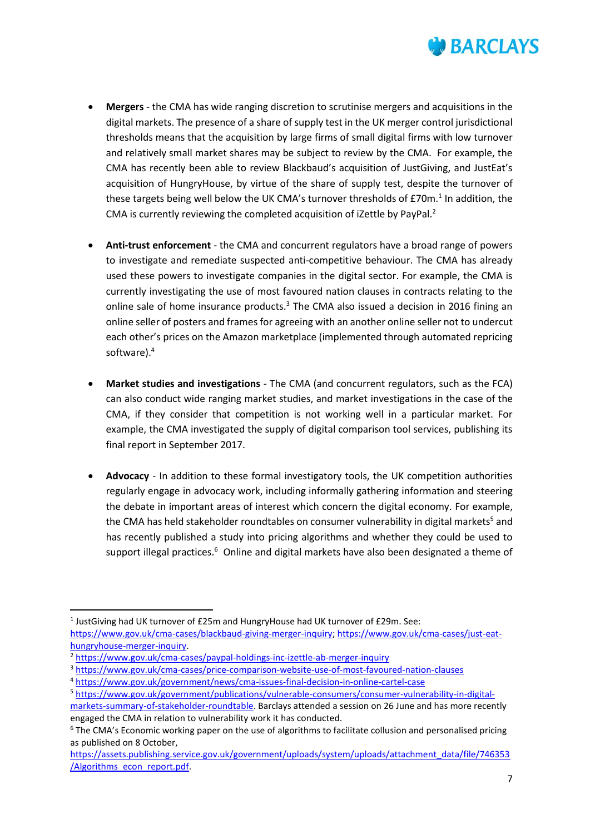

- **Mergers** the CMA has wide ranging discretion to scrutinise mergers and acquisitions in the digital markets. The presence of a share of supply test in the UK merger control jurisdictional thresholds means that the acquisition by large firms of small digital firms with low turnover and relatively small market shares may be subject to review by the CMA. For example, the CMA has recently been able to review Blackbaud's acquisition of JustGiving, and JustEat's acquisition of HungryHouse, by virtue of the share of supply test, despite the turnover of these targets being well below the UK CMA's turnover thresholds of £70m. $^1$  In addition, the CMA is currently reviewing the completed acquisition of iZettle by PayPal.<sup>2</sup>
- **Anti-trust enforcement** the CMA and concurrent regulators have a broad range of powers to investigate and remediate suspected anti-competitive behaviour. The CMA has already used these powers to investigate companies in the digital sector. For example, the CMA is currently investigating the use of most favoured nation clauses in contracts relating to the online sale of home insurance products.<sup>3</sup> The CMA also issued a decision in 2016 fining an online seller of posters and frames for agreeing with an another online seller not to undercut each other's prices on the Amazon marketplace (implemented through automated repricing software).<sup>4</sup>
- **Market studies and investigations** The CMA (and concurrent regulators, such as the FCA) can also conduct wide ranging market studies, and market investigations in the case of the CMA, if they consider that competition is not working well in a particular market. For example, the CMA investigated the supply of digital comparison tool services, publishing its final report in September 2017.
- **Advocacy** In addition to these formal investigatory tools, the UK competition authorities regularly engage in advocacy work, including informally gathering information and steering the debate in important areas of interest which concern the digital economy. For example, the CMA has held stakeholder roundtables on consumer vulnerability in digital markets<sup>5</sup> and has recently published a study into pricing algorithms and whether they could be used to support illegal practices.<sup>6</sup> Online and digital markets have also been designated a theme of

l

<sup>&</sup>lt;sup>1</sup> JustGiving had UK turnover of £25m and HungryHouse had UK turnover of £29m. See: [https://www.gov.uk/cma-cases/blackbaud-giving-merger-inquiry;](https://www.gov.uk/cma-cases/blackbaud-giving-merger-inquiry) [https://www.gov.uk/cma-cases/just-eat](https://www.gov.uk/cma-cases/just-eat-hungryhouse-merger-inquiry)[hungryhouse-merger-inquiry.](https://www.gov.uk/cma-cases/just-eat-hungryhouse-merger-inquiry)

<sup>2</sup> <https://www.gov.uk/cma-cases/paypal-holdings-inc-izettle-ab-merger-inquiry>

<sup>3</sup> <https://www.gov.uk/cma-cases/price-comparison-website-use-of-most-favoured-nation-clauses>

<sup>4</sup> <https://www.gov.uk/government/news/cma-issues-final-decision-in-online-cartel-case>

<sup>5</sup> [https://www.gov.uk/government/publications/vulnerable-consumers/consumer-vulnerability-in-digital-](https://www.gov.uk/government/publications/vulnerable-consumers/consumer-vulnerability-in-digital-markets-summary-of-stakeholder-roundtable)

[markets-summary-of-stakeholder-roundtable.](https://www.gov.uk/government/publications/vulnerable-consumers/consumer-vulnerability-in-digital-markets-summary-of-stakeholder-roundtable) Barclays attended a session on 26 June and has more recently engaged the CMA in relation to vulnerability work it has conducted.

<sup>6</sup> The CMA's Economic working paper on the use of algorithms to facilitate collusion and personalised pricing as published on 8 October,

[https://assets.publishing.service.gov.uk/government/uploads/system/uploads/attachment\\_data/file/746353](https://assets.publishing.service.gov.uk/government/uploads/system/uploads/attachment_data/file/746353/Algorithms_econ_report.pdf) [/Algorithms\\_econ\\_report.pdf.](https://assets.publishing.service.gov.uk/government/uploads/system/uploads/attachment_data/file/746353/Algorithms_econ_report.pdf)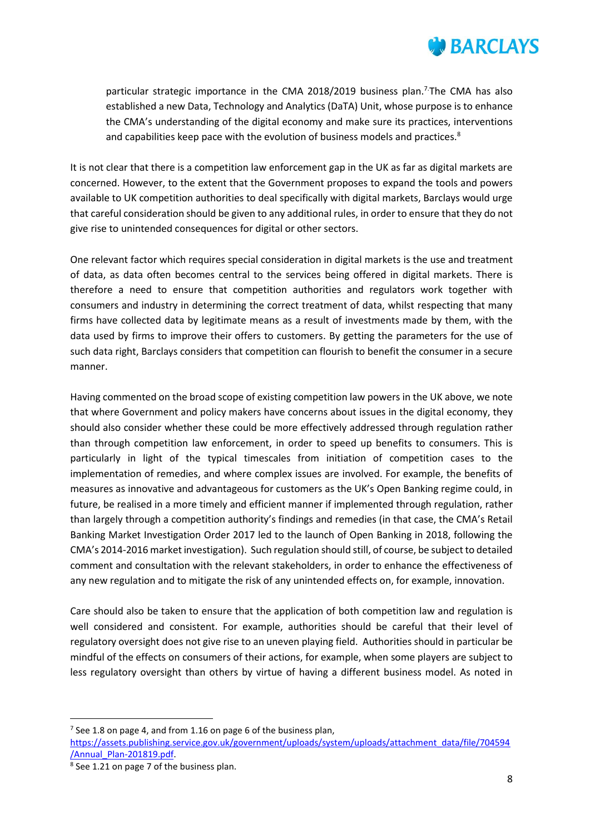

particular strategic importance in the CMA 2018/2019 business plan.<sup>7</sup>The CMA has also established a new Data, Technology and Analytics (DaTA) Unit, whose purpose is to enhance the CMA's understanding of the digital economy and make sure its practices, interventions and capabilities keep pace with the evolution of business models and practices.<sup>8</sup>

It is not clear that there is a competition law enforcement gap in the UK as far as digital markets are concerned. However, to the extent that the Government proposes to expand the tools and powers available to UK competition authorities to deal specifically with digital markets, Barclays would urge that careful consideration should be given to any additional rules, in order to ensure that they do not give rise to unintended consequences for digital or other sectors.

One relevant factor which requires special consideration in digital markets is the use and treatment of data, as data often becomes central to the services being offered in digital markets. There is therefore a need to ensure that competition authorities and regulators work together with consumers and industry in determining the correct treatment of data, whilst respecting that many firms have collected data by legitimate means as a result of investments made by them, with the data used by firms to improve their offers to customers. By getting the parameters for the use of such data right, Barclays considers that competition can flourish to benefit the consumer in a secure manner.

Having commented on the broad scope of existing competition law powers in the UK above, we note that where Government and policy makers have concerns about issues in the digital economy, they should also consider whether these could be more effectively addressed through regulation rather than through competition law enforcement, in order to speed up benefits to consumers. This is particularly in light of the typical timescales from initiation of competition cases to the implementation of remedies, and where complex issues are involved. For example, the benefits of measures as innovative and advantageous for customers as the UK's Open Banking regime could, in future, be realised in a more timely and efficient manner if implemented through regulation, rather than largely through a competition authority's findings and remedies (in that case, the CMA's Retail Banking Market Investigation Order 2017 led to the launch of Open Banking in 2018, following the CMA's 2014-2016 market investigation). Such regulation should still, of course, be subject to detailed comment and consultation with the relevant stakeholders, in order to enhance the effectiveness of any new regulation and to mitigate the risk of any unintended effects on, for example, innovation.

Care should also be taken to ensure that the application of both competition law and regulation is well considered and consistent. For example, authorities should be careful that their level of regulatory oversight does not give rise to an uneven playing field. Authorities should in particular be mindful of the effects on consumers of their actions, for example, when some players are subject to less regulatory oversight than others by virtue of having a different business model. As noted in

 $\overline{a}$ 

<sup>&</sup>lt;sup>7</sup> See 1.8 on page 4, and from 1.16 on page 6 of the business plan,

[https://assets.publishing.service.gov.uk/government/uploads/system/uploads/attachment\\_data/file/704594](https://assets.publishing.service.gov.uk/government/uploads/system/uploads/attachment_data/file/704594/Annual_Plan-201819.pdf) [/Annual\\_Plan-201819.pdf.](https://assets.publishing.service.gov.uk/government/uploads/system/uploads/attachment_data/file/704594/Annual_Plan-201819.pdf) 

<sup>&</sup>lt;sup>8</sup> See 1.21 on page 7 of the business plan.